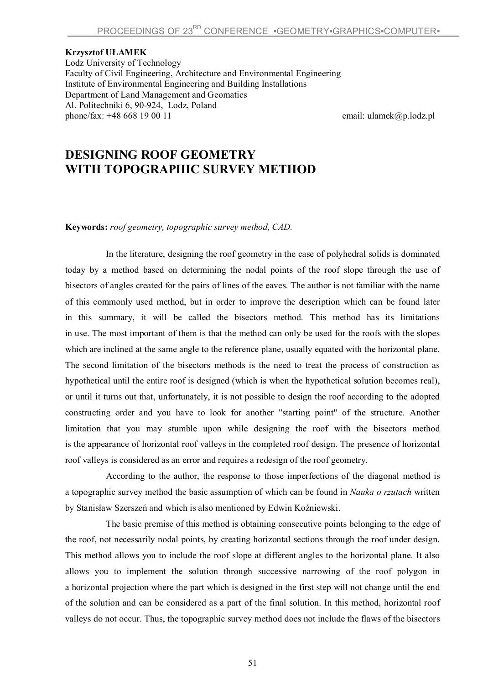## **Krzysztof UŁAMEK**

Lodz University of Technology Faculty of Civil Engineering, Architecture and Environmental Engineering Institute of Environmental Engineering and Building Installations Department of Land Management and Geomatics Al. Politechniki 6, 90-924, Lodz, Poland phone/fax:  $+48,668,19,00,11$  email: ulamek $\omega$ p.lodz.pl

## **DESIGNING ROOF GEOMETRY WITH TOPOGRAPHIC SURVEY METHOD**

**Keywords:** *roof geometry, topographic survey method, CAD.*

In the literature, designing the roof geometry in the case of polyhedral solids is dominated today by a method based on determining the nodal points of the roof slope through the use of bisectors of angles created for the pairs of lines of the eaves. The author is not familiar with the name of this commonly used method, but in order to improve the description which can be found later in this summary, it will be called the bisectors method. This method has its limitations in use. The most important of them is that the method can only be used for the roofs with the slopes which are inclined at the same angle to the reference plane, usually equated with the horizontal plane. The second limitation of the bisectors methods is the need to treat the process of construction as hypothetical until the entire roof is designed (which is when the hypothetical solution becomes real), or until it turns out that, unfortunately, it is not possible to design the roof according to the adopted constructing order and you have to look for another "starting point" of the structure. Another limitation that you may stumble upon while designing the roof with the bisectors method is the appearance of horizontal roof valleys in the completed roof design. The presence of horizontal roof valleys is considered as an error and requires a redesign of the roof geometry.

According to the author, the response to those imperfections of the diagonal method is a topographic survey method the basic assumption of which can be found in *Nauka o rzutach* written by Stanisław Szerszeń and which is also mentioned by Edwin Koźniewski.

The basic premise of this method is obtaining consecutive points belonging to the edge of the roof, not necessarily nodal points, by creating horizontal sections through the roof under design. This method allows you to include the roof slope at different angles to the horizontal plane. It also allows you to implement the solution through successive narrowing of the roof polygon in a horizontal projection where the part which is designed in the first step will not change until the end of the solution and can be considered as a part of the final solution. In this method, horizontal roof valleys do not occur. Thus, the topographic survey method does not include the flaws of the bisectors